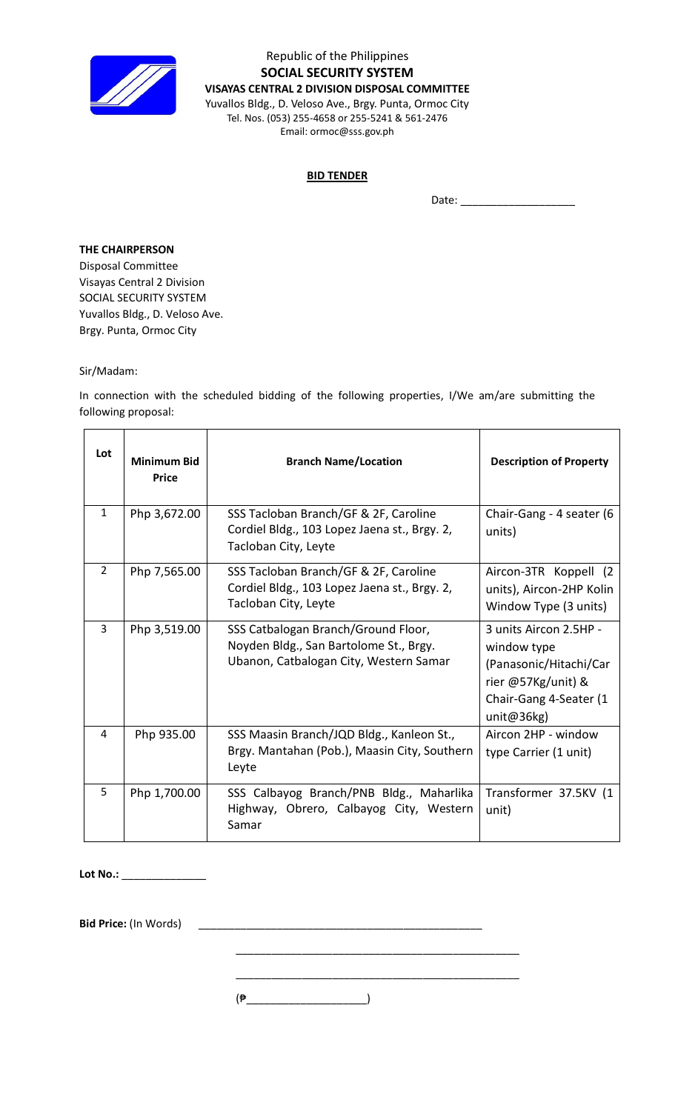

Republic of the Philippines **SOCIAL SECURITY SYSTEM VISAYAS CENTRAL 2 DIVISION DISPOSAL COMMITTEE** Yuvallos Bldg., D. Veloso Ave., Brgy. Punta, Ormoc City Tel. Nos. (053) 255-4658 or 255-5241 & 561-2476 Email: ormoc@sss.gov.ph

## **BID TENDER**

Date: \_\_\_\_\_\_\_\_\_\_\_\_\_\_\_\_\_\_\_

 $\overline{\phantom{a}}$ 

## **THE CHAIRPERSON**

Disposal Committee Visayas Central 2 Division SOCIAL SECURITY SYSTEM Yuvallos Bldg., D. Veloso Ave. Brgy. Punta, Ormoc City

## Sir/Madam:

In connection with the scheduled bidding of the following properties, I/We am/are submitting the following proposal:

| Lot            | <b>Minimum Bid</b><br><b>Price</b> | <b>Branch Name/Location</b>                                                                                             | <b>Description of Property</b>                                                                                                   |
|----------------|------------------------------------|-------------------------------------------------------------------------------------------------------------------------|----------------------------------------------------------------------------------------------------------------------------------|
| $\mathbf{1}$   | Php 3,672.00                       | SSS Tacloban Branch/GF & 2F, Caroline<br>Cordiel Bldg., 103 Lopez Jaena st., Brgy. 2,<br>Tacloban City, Leyte           | Chair-Gang - 4 seater (6<br>units)                                                                                               |
| $\overline{2}$ | Php 7,565.00                       | SSS Tacloban Branch/GF & 2F, Caroline<br>Cordiel Bldg., 103 Lopez Jaena st., Brgy. 2,<br>Tacloban City, Leyte           | Aircon-3TR Koppell (2)<br>units), Aircon-2HP Kolin<br>Window Type (3 units)                                                      |
| 3              | Php 3,519.00                       | SSS Catbalogan Branch/Ground Floor,<br>Noyden Bldg., San Bartolome St., Brgy.<br>Ubanon, Catbalogan City, Western Samar | 3 units Aircon 2.5HP -<br>window type<br>(Panasonic/Hitachi/Car<br>rier @57Kg/unit) &<br>Chair-Gang 4-Seater (1<br>unit@36 $kg)$ |
| 4              | Php 935.00                         | SSS Maasin Branch/JQD Bldg., Kanleon St.,<br>Brgy. Mantahan (Pob.), Maasin City, Southern<br>Leyte                      | Aircon 2HP - window<br>type Carrier (1 unit)                                                                                     |
| 5              | Php 1,700.00                       | SSS Calbayog Branch/PNB Bldg., Maharlika<br>Highway, Obrero, Calbayog City, Western<br>Samar                            | Transformer 37.5KV (1<br>unit)                                                                                                   |

**Lot No.:** \_\_\_\_\_\_\_\_\_\_\_\_\_\_

**Bid Price:** (In Words) \_\_\_\_\_\_\_\_\_\_\_\_\_\_\_\_\_\_\_\_\_\_\_\_\_\_\_\_\_\_\_\_\_\_\_\_\_\_\_\_\_\_\_\_\_\_\_

\_\_\_\_\_\_\_\_\_\_\_\_\_\_\_\_\_\_\_\_\_\_\_\_\_\_\_\_\_\_\_\_\_\_\_\_\_\_\_\_\_\_\_\_\_\_\_

\_\_\_\_\_\_\_\_\_\_\_\_\_\_\_\_\_\_\_\_\_\_\_\_\_\_\_\_\_\_\_\_\_\_\_\_\_\_\_\_\_\_\_\_\_\_\_

 $(\frac{1}{2})$